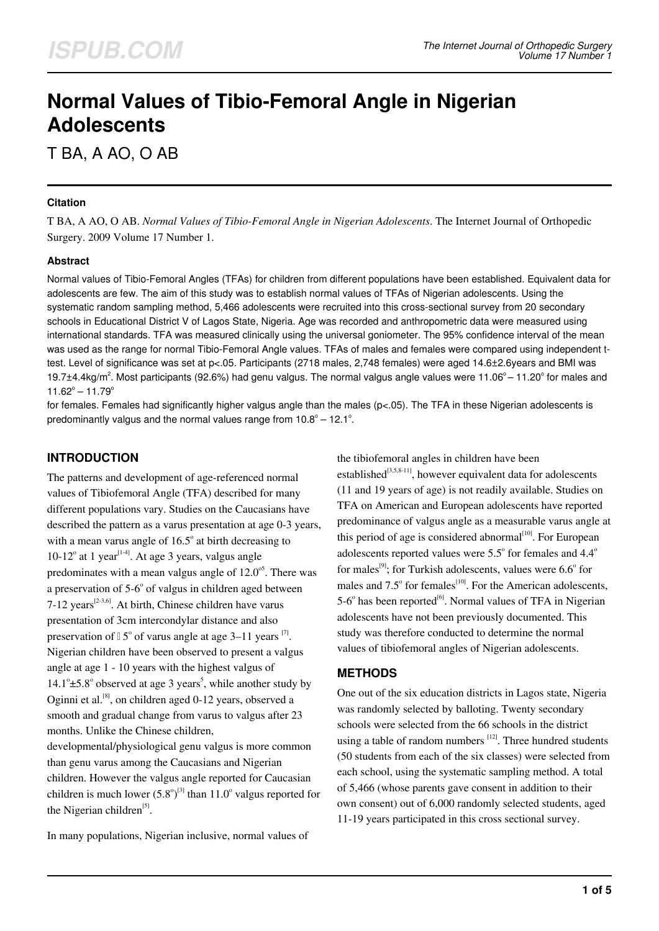# **Normal Values of Tibio-Femoral Angle in Nigerian Adolescents**

T BA, A AO, O AB

#### **Citation**

T BA, A AO, O AB. *Normal Values of Tibio-Femoral Angle in Nigerian Adolescents*. The Internet Journal of Orthopedic Surgery. 2009 Volume 17 Number 1.

#### **Abstract**

Normal values of Tibio-Femoral Angles (TFAs) for children from different populations have been established. Equivalent data for adolescents are few. The aim of this study was to establish normal values of TFAs of Nigerian adolescents. Using the systematic random sampling method, 5,466 adolescents were recruited into this cross-sectional survey from 20 secondary schools in Educational District V of Lagos State, Nigeria. Age was recorded and anthropometric data were measured using international standards. TFA was measured clinically using the universal goniometer. The 95% confidence interval of the mean was used as the range for normal Tibio-Femoral Angle values. TFAs of males and females were compared using independent ttest. Level of significance was set at p<.05. Participants (2718 males, 2,748 females) were aged 14.6±2.6years and BMI was 19.7±4.4kg/m<sup>2</sup>. Most participants (92.6%) had genu valgus. The normal valgus angle values were 11.06° – 11.20° for males and  $11.62^{\circ} - 11.79^{\circ}$ 

for females. Females had significantly higher valgus angle than the males ( $p<0.05$ ). The TFA in these Nigerian adolescents is predominantly valgus and the normal values range from  $10.8^\circ - 12.1^\circ$ .

## **INTRODUCTION**

The patterns and development of age-referenced normal values of Tibiofemoral Angle (TFA) described for many different populations vary. Studies on the Caucasians have described the pattern as a varus presentation at age 0-3 years, with a mean varus angle of  $16.5^{\circ}$  at birth decreasing to 10-12 $^{\circ}$  at 1 year<sup>[1-4]</sup>. At age 3 years, valgus angle predominates with a mean valgus angle of  $12.0<sup>o5</sup>$ . There was a preservation of 5-6° of valgus in children aged between 7-12 years<sup> $[2-3,6]$ </sup>. At birth, Chinese children have varus presentation of 3cm intercondylar distance and also preservation of  $15^{\circ}$  of varus angle at age 3–11 years  $^{[7]}$ . Nigerian children have been observed to present a valgus angle at age 1 - 10 years with the highest valgus of  $14.1^{\circ}$ ±5.8° observed at age 3 years<sup>5</sup>, while another study by Oginni et al.<sup>[8]</sup>, on children aged 0-12 years, observed a smooth and gradual change from varus to valgus after 23 months. Unlike the Chinese children, developmental/physiological genu valgus is more common than genu varus among the Caucasians and Nigerian children. However the valgus angle reported for Caucasian children is much lower  $(5.8^{\circ})^{[3]}$  than  $11.0^{\circ}$  valgus reported for the Nigerian children<sup>[5]</sup>.

In many populations, Nigerian inclusive, normal values of

the tibiofemoral angles in children have been established<sup>[3,5,8-11]</sup>, however equivalent data for adolescents (11 and 19 years of age) is not readily available. Studies on TFA on American and European adolescents have reported predominance of valgus angle as a measurable varus angle at this period of age is considered abnormal $[10]$ . For European adolescents reported values were  $5.5^{\circ}$  for females and  $4.4^{\circ}$ for males<sup>[9]</sup>; for Turkish adolescents, values were  $6.6^{\circ}$  for males and  $7.5^{\circ}$  for females<sup>[10]</sup>. For the American adolescents,  $5\n-6^\circ$  has been reported<sup>[6]</sup>. Normal values of TFA in Nigerian adolescents have not been previously documented. This study was therefore conducted to determine the normal values of tibiofemoral angles of Nigerian adolescents.

#### **METHODS**

One out of the six education districts in Lagos state, Nigeria was randomly selected by balloting. Twenty secondary schools were selected from the 66 schools in the district using a table of random numbers  $[12]$ . Three hundred students (50 students from each of the six classes) were selected from each school, using the systematic sampling method. A total of 5,466 (whose parents gave consent in addition to their own consent) out of 6,000 randomly selected students, aged 11-19 years participated in this cross sectional survey.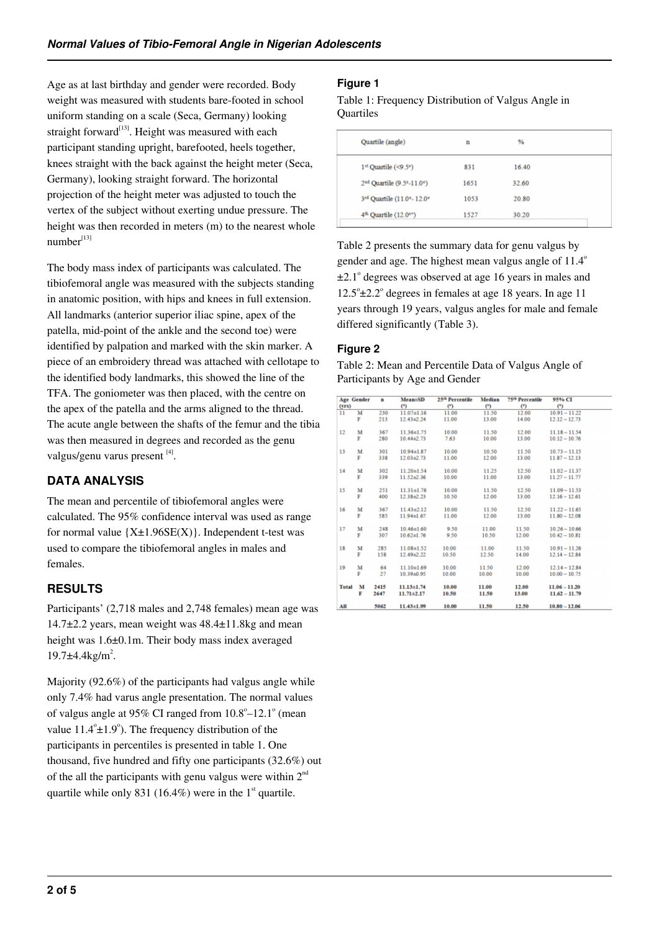Age as at last birthday and gender were recorded. Body weight was measured with students bare-footed in school uniform standing on a scale (Seca, Germany) looking straight forward $^{[13]}$ . Height was measured with each participant standing upright, barefooted, heels together, knees straight with the back against the height meter (Seca, Germany), looking straight forward. The horizontal projection of the height meter was adjusted to touch the vertex of the subject without exerting undue pressure. The height was then recorded in meters (m) to the nearest whole  $number<sup>[13]</sup>$ 

The body mass index of participants was calculated. The tibiofemoral angle was measured with the subjects standing in anatomic position, with hips and knees in full extension. All landmarks (anterior superior iliac spine, apex of the patella, mid-point of the ankle and the second toe) were identified by palpation and marked with the skin marker. A piece of an embroidery thread was attached with cellotape to the identified body landmarks, this showed the line of the TFA. The goniometer was then placed, with the centre on the apex of the patella and the arms aligned to the thread. The acute angle between the shafts of the femur and the tibia was then measured in degrees and recorded as the genu valgus/genu varus present [4].

# **DATA ANALYSIS**

The mean and percentile of tibiofemoral angles were calculated. The 95% confidence interval was used as range for normal value  ${X±1.96SE(X)}$ . Independent t-test was used to compare the tibiofemoral angles in males and females.

# **RESULTS**

Participants' (2,718 males and 2,748 females) mean age was 14.7±2.2 years, mean weight was 48.4±11.8kg and mean height was 1.6±0.1m. Their body mass index averaged  $19.7 \pm 4.4$  kg/m<sup>2</sup>.

Majority (92.6%) of the participants had valgus angle while only 7.4% had varus angle presentation. The normal values of valgus angle at  $95\%$  CI ranged from  $10.8^{\circ}-12.1^{\circ}$  (mean value  $11.4^{\circ}$ ± $1.9^{\circ}$ ). The frequency distribution of the participants in percentiles is presented in table 1. One thousand, five hundred and fifty one participants (32.6%) out of the all the participants with genu valgus were within  $2<sup>nd</sup>$ quartile while only 831 (16.4%) were in the  $1<sup>st</sup>$  quartile.

## **Figure 1**

Table 1: Frequency Distribution of Valgus Angle in **Quartiles** 

| Quartile (angle)                              | n    | $\frac{9}{6}$ |  |
|-----------------------------------------------|------|---------------|--|
| $11$ Quartile (<9.5°)                         | 831  | 16.40         |  |
| 2 <sup>nd</sup> Quartile (9.5°-11.0°)         | 1651 | 32.60         |  |
| 3 <sup>rd</sup> Quartile (11.0°-12.0°         | 1053 | 20.80         |  |
| 4 <sup>th</sup> Quartile (12.0 <sup>o+)</sup> | 1527 | 30.20         |  |
|                                               |      |               |  |

Table 2 presents the summary data for genu valgus by gender and age. The highest mean valgus angle of  $11.4^\circ$  $\pm 2.1^{\circ}$  degrees was observed at age 16 years in males and  $12.5^{\circ}$ ±2.2 $^{\circ}$  degrees in females at age 18 years. In age 11 years through 19 years, valgus angles for male and female differed significantly (Table 3).

## **Figure 2**

Table 2: Mean and Percentile Data of Valgus Angle of Participants by Age and Gender

| (YTS)        | <b>Age Gender</b> | $\mathbf{n}$ | <b>MeaniSD</b><br>(°) | 25th Percentile<br>(°) | Median<br>$\circ$ | 75 <sup>th</sup> Percentile<br>$\circ$ | 95% CI<br>$\circ$ |
|--------------|-------------------|--------------|-----------------------|------------------------|-------------------|----------------------------------------|-------------------|
| 11           | M                 | 230          | $11.07 \pm 1.16$      | 11.00                  | 11.50             | 12.00                                  | $10.91 - 11.22$   |
|              | F                 | 213          | $12.43\pm 2.24$       | 11.00                  | 13.00             | 14.00                                  | $12.12 - 12.73$   |
| 12           | M                 | 367          | $11.36 \pm 1.75$      | 10.00                  | 11.50             | 12.00                                  | $11.18 - 11.54$   |
|              | F                 | 280          | $10.44 \pm 2.73$      | 7.63                   | 10.00             | 13.00                                  | $10.12 - 10.76$   |
| 13           | M                 | 301          | $10.94 \pm 1.87$      | 10.00                  | 10.50             | 11.50                                  | $10.73 - 11.15$   |
|              | F                 | 338          | 12.03+2.73            | 11.00                  | 12.00             | 13.00                                  | $11.87 - 12.13$   |
| 14           | M                 | 302          | 11.20±1.54            | 10.00                  | 11.25             | 12.50                                  | $11.02 - 11.37$   |
|              | F                 | 339          | 11.52+2.36            | 10.00                  | 11.00             | 13.00                                  | $11.27 - 11.77$   |
| 15           | м                 | 251          | $11.31 + 1.76$        | 10.00                  | 11.50             | 12.50                                  | $11.09 - 11.53$   |
|              | F                 | 400          | $12.38 + 2.23$        | 10.50                  | 12.00             | 13.00                                  | $12.16 - 12.61$   |
| 16           | M                 | 367          | $11.43 + 2.12$        | 10.00                  | 11.50             | 12.50                                  | $11.22 - 11.65$   |
|              | F                 | 585          | $11.94 \pm 1.67$      | 11.00                  | 12.00             | 13.00                                  | $11.80 - 12.08$   |
| 17           | M                 | 248          | $10.46 \pm 1.60$      | 9.50                   | 11.00             | 11.50                                  | $10.26 - 10.66$   |
|              | F                 | 307          | $10.62 \pm 1.76$      | 9.50                   | 10.50             | 12.00                                  | $10.42 - 10.81$   |
| 18           | M                 | 285          | $11.08 \pm 1.52$      | 10.00                  | 11.00             | 11.50                                  | $10.91 - 11.26$   |
|              | F                 | 158          | 12.4942.22            | 10.50                  | 12.50             | 14.00                                  | $12.14 - 12.84$   |
| 19           | м                 | 64           | 11.10 ± 1.69          | 10.00                  | 11.50             | 12.00                                  | $12.14 - 12.84$   |
|              | F                 | 27           | 10.39±0.95            | 10.00                  | 10.00             | 10.00                                  | $10.00 - 10.75$   |
| <b>Total</b> | M                 | 2415         | $11.13 + 1.74$        | 10.00                  | 11.00             | 12.00                                  | $11.06 - 11.20$   |
|              | F                 | 2647         | $11.71 \pm 2.17$      | 10.50                  | 11.50             | 13.00                                  | $11.62 - 11.79$   |
| AII          |                   | 5062         | $11.43 \pm 1.99$      | 10.00                  | 11.50             | 12.50                                  | $10.80 - 12.06$   |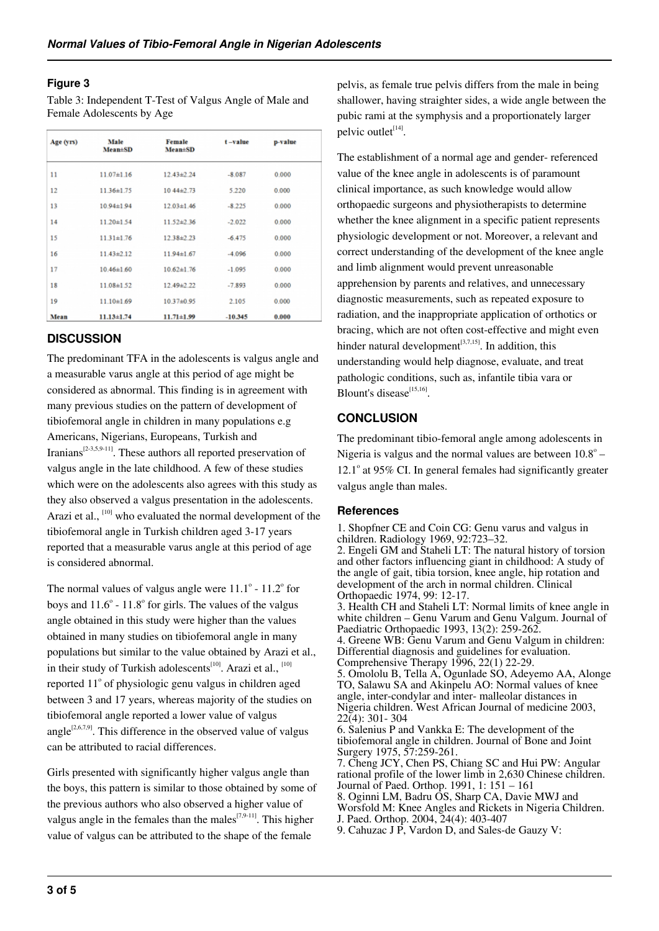#### **Figure 3**

Table 3: Independent T-Test of Valgus Angle of Male and Female Adolescents by Age

| Age (yrs) | Male<br>Mean#SD  | Female<br><b>Mean</b> <sup>t</sup> SD | $t - value$ | p-value |  |
|-----------|------------------|---------------------------------------|-------------|---------|--|
| 11        | $11.07 \pm 1.16$ | $12.43 \pm 2.24$                      | $-8.087$    | 0.000   |  |
| 12        | $11.36 \pm 1.75$ | $1044\pm2.73$                         | 5.220       | 0.000   |  |
| 13        | $10.94 \pm 1.94$ | $12.03 \pm 1.46$                      | $-8.225$    | 0.000   |  |
| 14        | 11.20±1.54       | $11.52 + 2.36$                        | $-2.022$    | 0.000   |  |
| 15        | $11.31 \pm 1.76$ | 12.38±2.23                            | $-6.475$    | 0.000   |  |
| 16        | $11.43 \pm 2.12$ | $11.94 \pm 1.67$                      | $-4.096$    | 0.000   |  |
| 17        | $10.46 \pm 1.60$ | $10.62 \pm 1.76$                      | $-1.095$    | 0.000   |  |
| 18        | $11.08 \pm 1.52$ | 12.49±2.22                            | $-7.893$    | 0.000   |  |
| 19        | $11.10 \pm 1.69$ | 10.37±0.95                            | 2.105       | 0.000   |  |
| Mean      | $11.13 \pm 1.74$ | $11.71 \pm 1.99$                      | $-10.345$   | 0.000   |  |

## **DISCUSSION**

The predominant TFA in the adolescents is valgus angle and a measurable varus angle at this period of age might be considered as abnormal. This finding is in agreement with many previous studies on the pattern of development of tibiofemoral angle in children in many populations e.g Americans, Nigerians, Europeans, Turkish and Iranians<sup> $[2-3,5,9-11]$ </sup>. These authors all reported preservation of valgus angle in the late childhood. A few of these studies which were on the adolescents also agrees with this study as they also observed a valgus presentation in the adolescents. Arazi et al., <sup>[10]</sup> who evaluated the normal development of the tibiofemoral angle in Turkish children aged 3-17 years reported that a measurable varus angle at this period of age is considered abnormal.

The normal values of valgus angle were  $11.1^\circ$  -  $11.2^\circ$  for boys and  $11.6^{\circ}$  -  $11.8^{\circ}$  for girls. The values of the valgus angle obtained in this study were higher than the values obtained in many studies on tibiofemoral angle in many populations but similar to the value obtained by Arazi et al., in their study of Turkish adolescents<sup>[10]</sup>. Arazi et al.,  $[10]$ reported 11° of physiologic genu valgus in children aged between 3 and 17 years, whereas majority of the studies on tibiofemoral angle reported a lower value of valgus angle<sup>[2,6,7,9]</sup>. This difference in the observed value of valgus can be attributed to racial differences.

Girls presented with significantly higher valgus angle than the boys, this pattern is similar to those obtained by some of the previous authors who also observed a higher value of valgus angle in the females than the males  $(7,9-11)$ . This higher value of valgus can be attributed to the shape of the female

pelvis, as female true pelvis differs from the male in being shallower, having straighter sides, a wide angle between the pubic rami at the symphysis and a proportionately larger pelvic outlet<sup>[14]</sup>.

The establishment of a normal age and gender- referenced value of the knee angle in adolescents is of paramount clinical importance, as such knowledge would allow orthopaedic surgeons and physiotherapists to determine whether the knee alignment in a specific patient represents physiologic development or not. Moreover, a relevant and correct understanding of the development of the knee angle and limb alignment would prevent unreasonable apprehension by parents and relatives, and unnecessary diagnostic measurements, such as repeated exposure to radiation, and the inappropriate application of orthotics or bracing, which are not often cost-effective and might even hinder natural development $[3,7,15]$ . In addition, this understanding would help diagnose, evaluate, and treat pathologic conditions, such as, infantile tibia vara or Blount's disease<sup>[15,16]</sup>.

## **CONCLUSION**

The predominant tibio-femoral angle among adolescents in Nigeria is valgus and the normal values are between  $10.8^{\circ}$  -12.1° at 95% CI. In general females had significantly greater valgus angle than males.

#### **References**

1. Shopfner CE and Coin CG: Genu varus and valgus in children. Radiology 1969, 92:723–32. 2. Engeli GM and Staheli LT: The natural history of torsion and other factors influencing giant in childhood: A study of the angle of gait, tibia torsion, knee angle, hip rotation and development of the arch in normal children. Clinical Orthopaedic 1974, 99: 12-17. 3. Health CH and Staheli LT: Normal limits of knee angle in white children – Genu Varum and Genu Valgum. Journal of Paediatric Orthopaedic 1993, 13(2): 259-262. 4. Greene WB: Genu Varum and Genu Valgum in children: Differential diagnosis and guidelines for evaluation. Comprehensive Therapy 1996, 22(1) 22-29. 5. Omololu B, Tella A, Ogunlade SO, Adeyemo AA, Alonge TO, Salawu SA and Akinpelu AO: Normal values of knee angle, inter-condylar and inter- malleolar distances in Nigeria children. West African Journal of medicine 2003,  $22(4): 301 - 304$ 6. Salenius P and Vankka E: The development of the tibiofemoral angle in children. Journal of Bone and Joint Surgery 1975, 57:259-261. 7. Cheng JCY, Chen PS, Chiang SC and Hui PW: Angular rational profile of the lower limb in 2,630 Chinese children. Journal of Paed. Orthop. 1991, 1: 151 – 161 8. Oginni LM, Badru OS, Sharp CA, Davie MWJ and Worsfold M: Knee Angles and Rickets in Nigeria Children. J. Paed. Orthop. 2004, 24(4): 403-407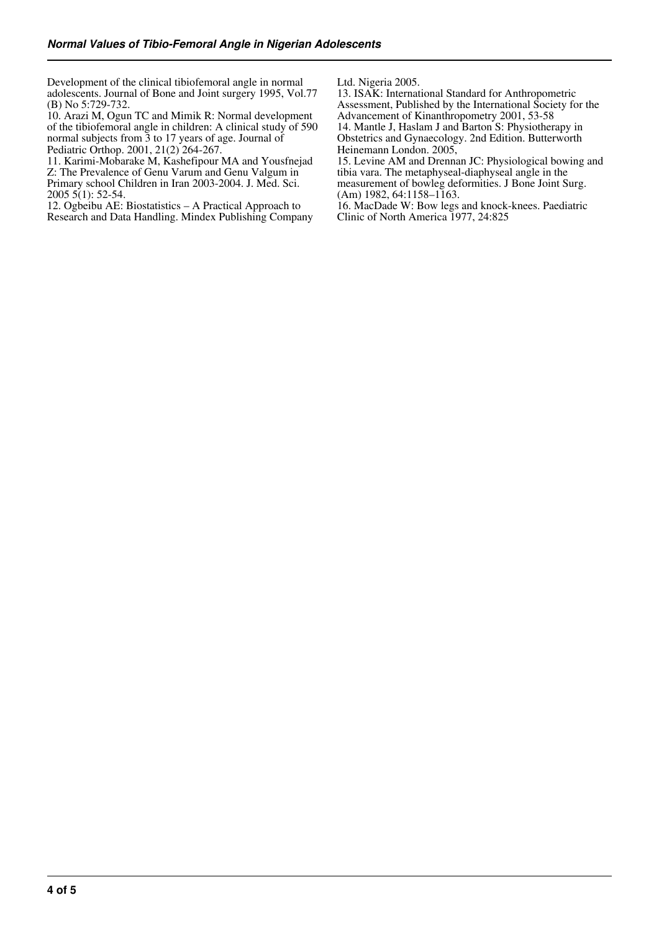Development of the clinical tibiofemoral angle in normal adolescents. Journal of Bone and Joint surgery 1995, Vol.77 (B) No 5:729-732.

10. Arazi M, Ogun TC and Mimik R: Normal development of the tibiofemoral angle in children: A clinical study of 590 normal subjects from 3 to 17 years of age. Journal of Pediatric Orthop. 2001, 21(2) 264-267.

11. Karimi-Mobarake M, Kashefipour MA and Yousfnejad Z: The Prevalence of Genu Varum and Genu Valgum in Primary school Children in Iran 2003-2004. J. Med. Sci. 2005 5(1): 52-54.

12. Ogbeibu AE: Biostatistics – A Practical Approach to Research and Data Handling. Mindex Publishing Company Ltd. Nigeria 2005.

13. ISAK: International Standard for Anthropometric Assessment, Published by the International Society for the Advancement of Kinanthropometry 2001, 53-58 14. Mantle J, Haslam J and Barton S: Physiotherapy in Obstetrics and Gynaecology. 2nd Edition. Butterworth Heinemann London. 2005,

15. Levine AM and Drennan JC: Physiological bowing and tibia vara. The metaphyseal-diaphyseal angle in the measurement of bowleg deformities. J Bone Joint Surg. (Am) 1982, 64:1158–1163.

16. MacDade W: Bow legs and knock-knees. Paediatric Clinic of North America 1977, 24:825